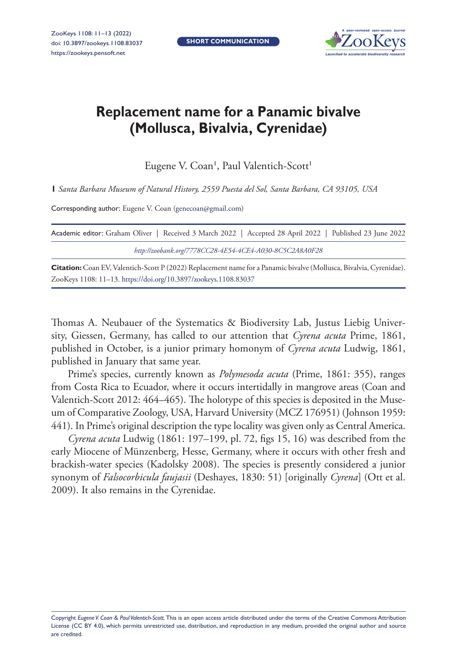**SHORT COMMUNICATION**



## **Replacement name for a Panamic bivalve (Mollusca, Bivalvia, Cyrenidae)**

Eugene V. Coan<sup>1</sup>, Paul Valentich-Scott<sup>1</sup>

**1** *Santa Barbara Museum of Natural History, 2559 Puesta del Sol, Santa Barbara, CA 93105, USA*

Corresponding author: Eugene V. Coan (genecoan@gmail.com)

| Academic editor: Graham Oliver   Received 3 March 2022   Accepted 28 April 2022   Published 23 June 2022 |  |
|----------------------------------------------------------------------------------------------------------|--|
| http://zoobank.org/7778CC28-4E54-4CE4-A030-8C5C2A8A0F28                                                  |  |
|                                                                                                          |  |

**Citation:** Coan EV, Valentich-Scott P (2022) Replacement name for a Panamic bivalve (Mollusca, Bivalvia, Cyrenidae). ZooKeys 1108: 11–13. https://doi.org/10.3897/zookeys.1108.83037

Thomas A. Neubauer of the Systematics & Biodiversity Lab, Justus Liebig University, Giessen, Germany, has called to our attention that *Cyrena acuta* Prime, 1861, published in October, is a junior primary homonym of *Cyrena acuta* Ludwig, 1861, published in January that same year.

Prime's species, currently known as *Polymesoda acuta* (Prime, 1861: 355), ranges from Costa Rica to Ecuador, where it occurs intertidally in mangrove areas (Coan and Valentich-Scott 2012: 464–465). The holotype of this species is deposited in the Museum of Comparative Zoology, USA, Harvard University (MCZ 176951) (Johnson 1959: 441). In Prime's original description the type locality was given only as Central America.

*Cyrena acuta* Ludwig (1861: 197–199, pl. 72, figs 15, 16) was described from the early Miocene of Münzenberg, Hesse, Germany, where it occurs with other fresh and brackish-water species (Kadolsky 2008). The species is presently considered a junior synonym of *Falsocorbicula faujasii* (Deshayes, 1830: 51) [originally *Cyrena*] (Ott et al. 2009). It also remains in the Cyrenidae.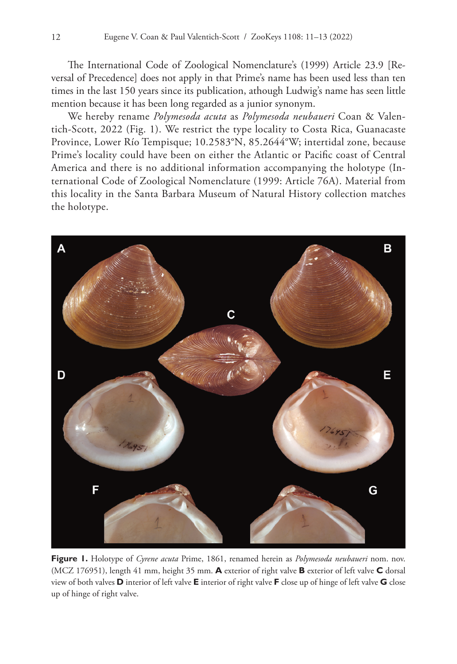The International Code of Zoological Nomenclature's (1999) Article 23.9 [Reversal of Precedence] does not apply in that Prime's name has been used less than ten times in the last 150 years since its publication, athough Ludwig's name has seen little mention because it has been long regarded as a junior synonym.

We hereby rename *Polymesoda acuta* as *Polymesoda neubaueri* Coan & Valentich-Scott, 2022 (Fig. 1). We restrict the type locality to Costa Rica, Guanacaste Province, Lower Río Tempisque; 10.2583°N, 85.2644°W; intertidal zone, because Prime's locality could have been on either the Atlantic or Pacific coast of Central America and there is no additional information accompanying the holotype (International Code of Zoological Nomenclature (1999: Article 76A). Material from this locality in the Santa Barbara Museum of Natural History collection matches the holotype.



**Figure 1.** Holotype of *Cyrene acuta* Prime, 1861, renamed herein as *Polymesoda neubaueri* nom. nov. (MCZ 176951), length 41 mm, height 35 mm. **A** exterior of right valve **B** exterior of left valve **C** dorsal view of both valves **D** interior of left valve **E** interior of right valve **F** close up of hinge of left valve **G** close up of hinge of right valve.